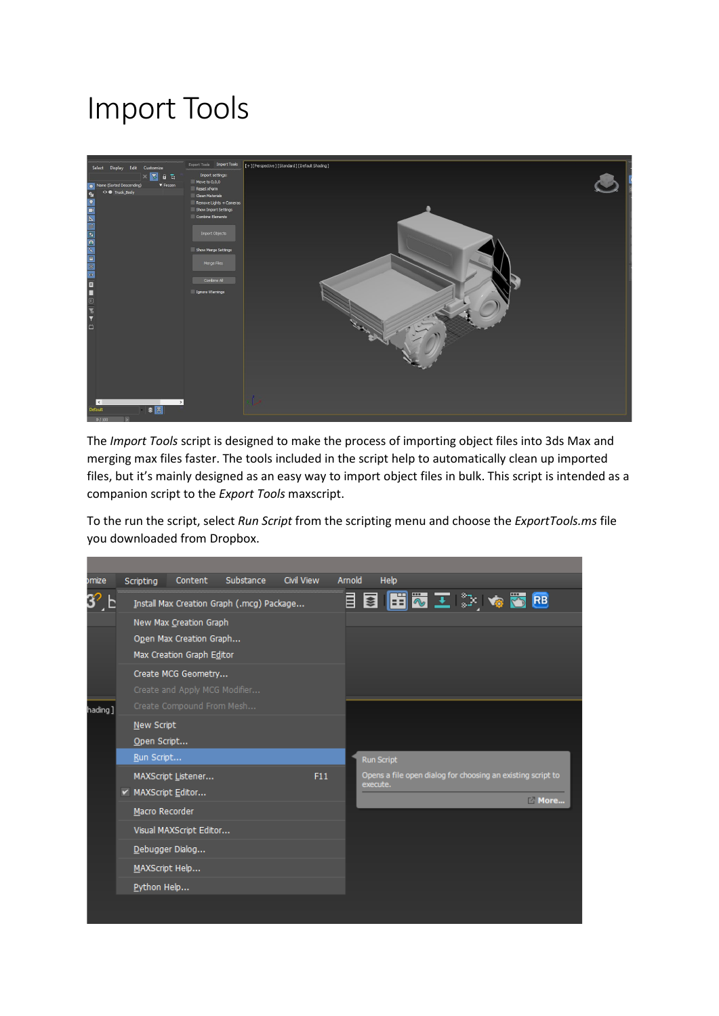# Import Tools



The *Import Tools* script is designed to make the process of importing object files into 3ds Max and merging max files faster. The tools included in the script help to automatically clean up imported files, but it's mainly designed as an easy way to import object files in bulk. This script is intended as a companion script to the *Export Tools* maxscript.

To the run the script, select *Run Script* from the scripting menu and choose the *ExportTools.ms* file you downloaded from Dropbox.

| omize   | Scripting                                     | Content                                         | Substance | <b>Civil View</b> | Arnold | Help                                                                            |             |  |  |  |  |
|---------|-----------------------------------------------|-------------------------------------------------|-----------|-------------------|--------|---------------------------------------------------------------------------------|-------------|--|--|--|--|
|         | <br>Install Max Creation Graph (.mcg) Package |                                                 |           |                   |        |                                                                                 | 目目 田宏王 ジャある |  |  |  |  |
|         | New Max Creation Graph                        |                                                 |           |                   |        |                                                                                 |             |  |  |  |  |
|         | Open Max Creation Graph                       |                                                 |           |                   |        |                                                                                 |             |  |  |  |  |
|         | Max Creation Graph Editor                     |                                                 |           |                   |        |                                                                                 |             |  |  |  |  |
|         | Create MCG Geometry                           |                                                 |           |                   |        |                                                                                 |             |  |  |  |  |
|         | Create and Apply MCG Modifier                 |                                                 |           |                   |        |                                                                                 |             |  |  |  |  |
| hading] | Create Compound From Mesh                     |                                                 |           |                   |        |                                                                                 |             |  |  |  |  |
|         | New Script                                    |                                                 |           |                   |        |                                                                                 |             |  |  |  |  |
|         | Open Script                                   |                                                 |           |                   |        |                                                                                 |             |  |  |  |  |
|         | Run Script                                    |                                                 |           |                   |        | <b>Run Script</b>                                                               |             |  |  |  |  |
|         |                                               | F11<br>MAXScript Listener<br>► MAXScript Editor |           |                   |        | Opens a file open dialog for choosing an existing script to<br>execute.<br>More |             |  |  |  |  |
|         |                                               |                                                 |           |                   |        |                                                                                 |             |  |  |  |  |
|         | Macro Recorder                                |                                                 |           |                   |        |                                                                                 |             |  |  |  |  |
|         | Visual MAXScript Editor                       |                                                 |           |                   |        |                                                                                 |             |  |  |  |  |
|         | Debugger Dialog<br>MAXScript Help             |                                                 |           |                   |        |                                                                                 |             |  |  |  |  |
|         |                                               |                                                 |           |                   |        |                                                                                 |             |  |  |  |  |
|         | Python Help                                   |                                                 |           |                   |        |                                                                                 |             |  |  |  |  |
|         |                                               |                                                 |           |                   |        |                                                                                 |             |  |  |  |  |
|         |                                               |                                                 |           |                   |        |                                                                                 |             |  |  |  |  |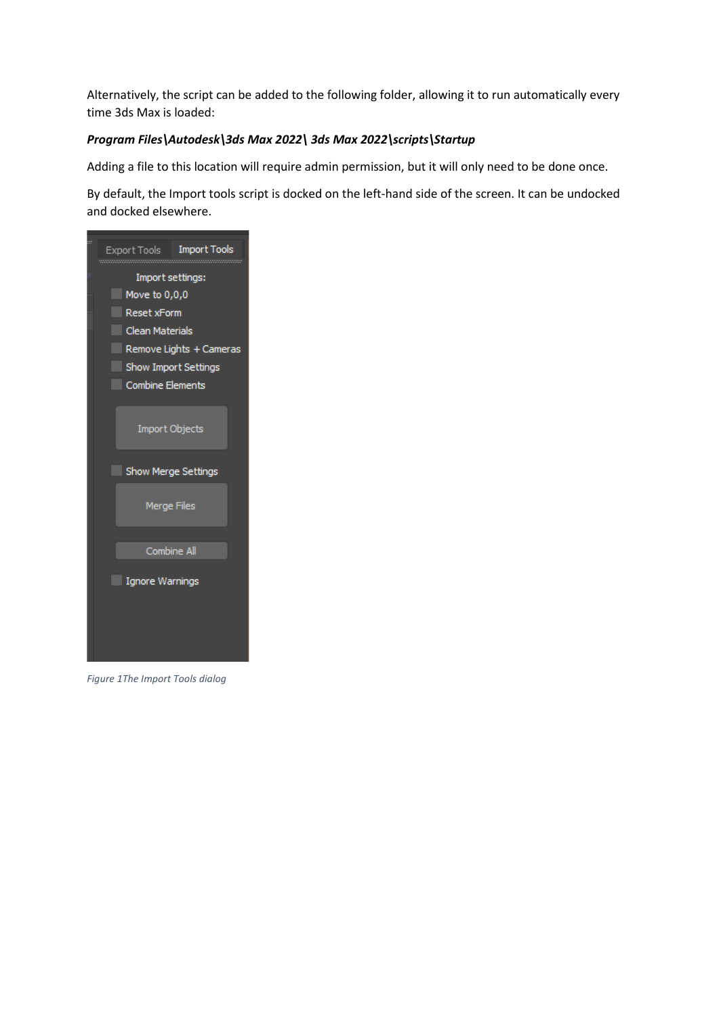Alternatively, the script can be added to the following folder, allowing it to run automatically every time 3ds Max is loaded:

#### *Program Files\Autodesk\3ds Max 2022\ 3ds Max 2022\scripts\Startup*

Adding a file to this location will require admin permission, but it will only need to be done once.

By default, the Import tools script is docked on the left-hand side of the screen. It can be undocked and docked elsewhere.



*Figure 1The Import Tools dialog*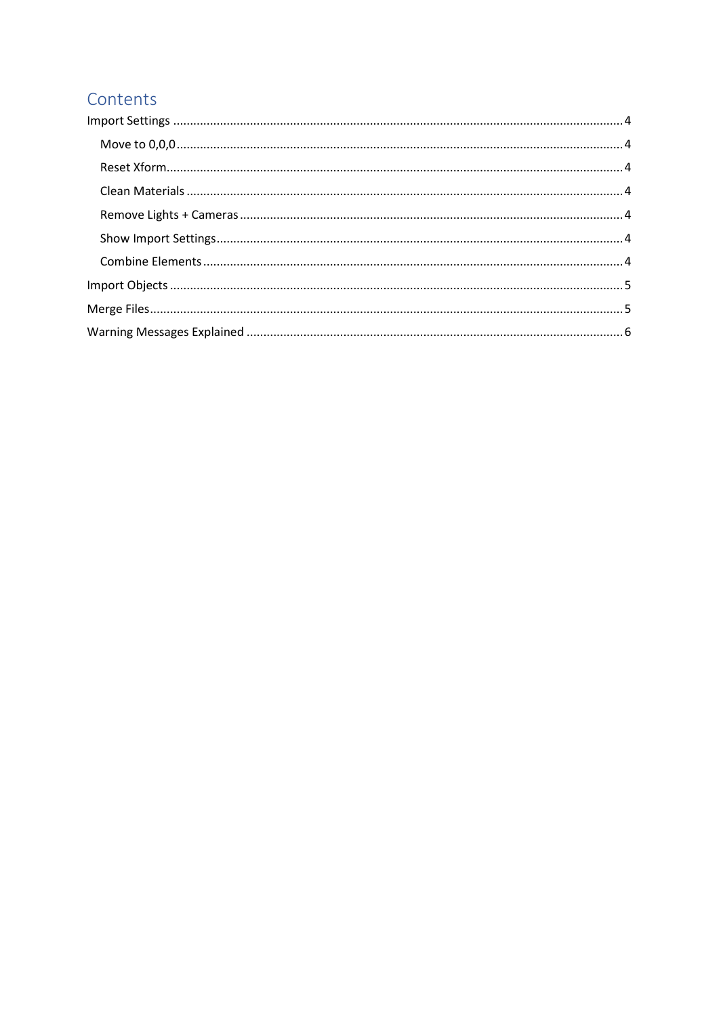# Contents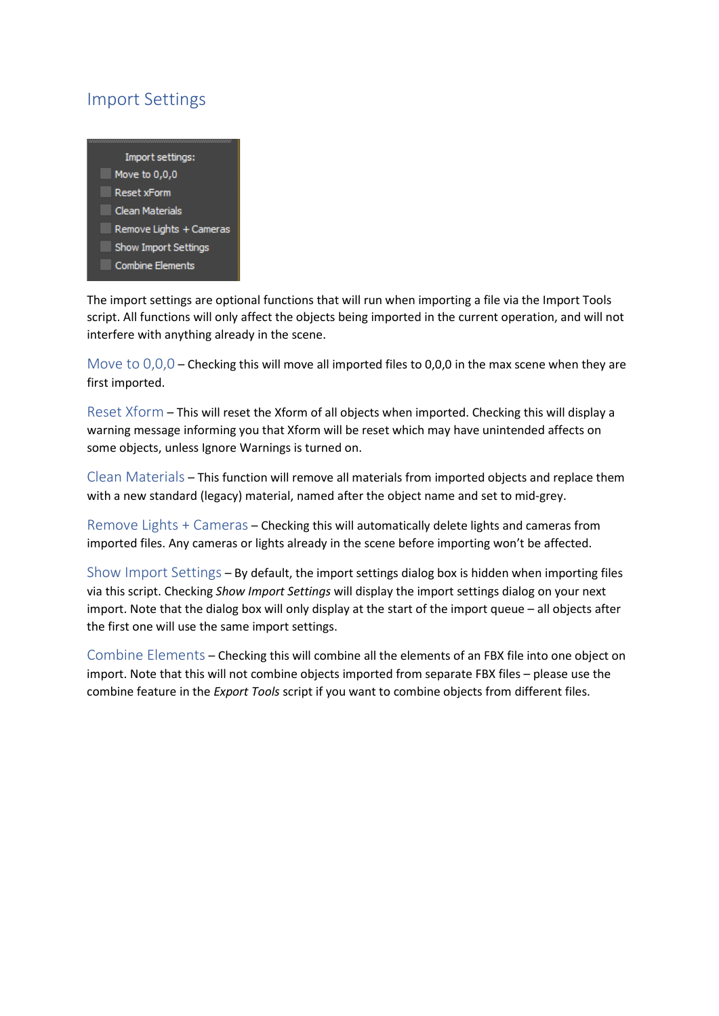## <span id="page-3-0"></span>Import Settings



The import settings are optional functions that will run when importing a file via the Import Tools script. All functions will only affect the objects being imported in the current operation, and will not interfere with anything already in the scene.

<span id="page-3-1"></span>Move to  $0,0,0$  – Checking this will move all imported files to 0,0,0 in the max scene when they are first imported.

<span id="page-3-2"></span>Reset Xform – This will reset the Xform of all objects when imported. Checking this will display a warning message informing you that Xform will be reset which may have unintended affects on some objects, unless Ignore Warnings is turned on.

<span id="page-3-3"></span>Clean Materials – This function will remove all materials from imported objects and replace them with a new standard (legacy) material, named after the object name and set to mid-grey.

<span id="page-3-4"></span>Remove Lights + Cameras – Checking this will automatically delete lights and cameras from imported files. Any cameras or lights already in the scene before importing won't be affected.

<span id="page-3-5"></span>Show Import Settings – By default, the import settings dialog box is hidden when importing files via this script. Checking *Show Import Settings* will display the import settings dialog on your next import. Note that the dialog box will only display at the start of the import queue – all objects after the first one will use the same import settings.

<span id="page-3-6"></span>Combine Elements – Checking this will combine all the elements of an FBX file into one object on import. Note that this will not combine objects imported from separate FBX files – please use the combine feature in the *Export Tools* script if you want to combine objects from different files.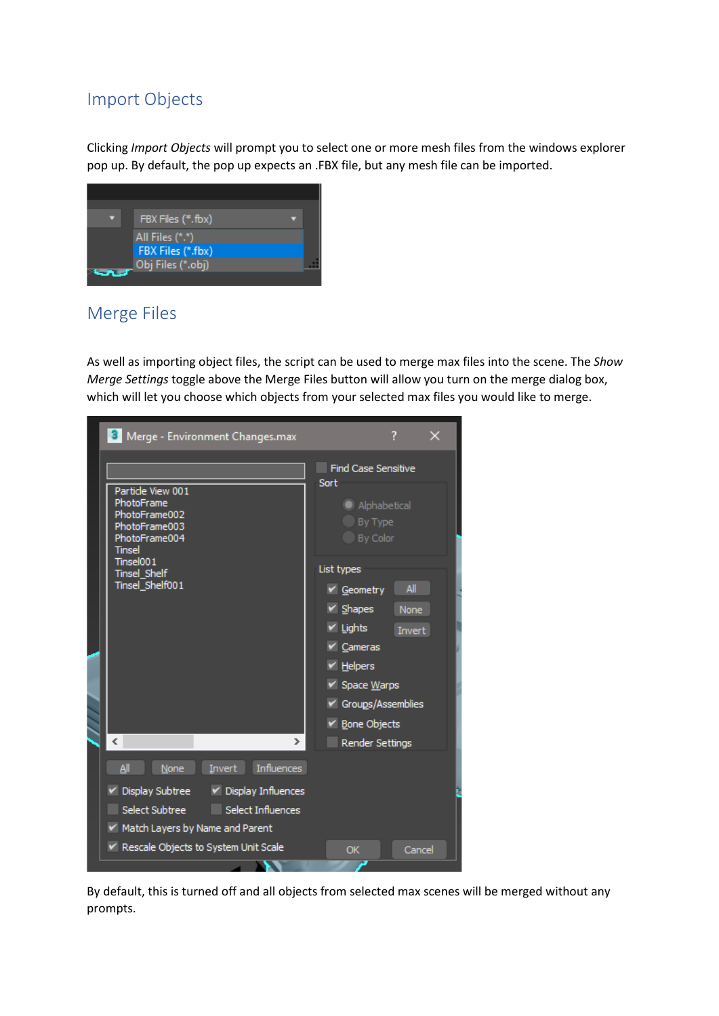## <span id="page-4-0"></span>Import Objects

Clicking *Import Objects* will prompt you to select one or more mesh files from the windows explorer pop up. By default, the pop up expects an .FBX file, but any mesh file can be imported.



#### <span id="page-4-1"></span>Merge Files

As well as importing object files, the script can be used to merge max files into the scene. The *Show Merge Settings* toggle above the Merge Files button will allow you turn on the merge dialog box, which will let you choose which objects from your selected max files you would like to merge.



By default, this is turned off and all objects from selected max scenes will be merged without any prompts.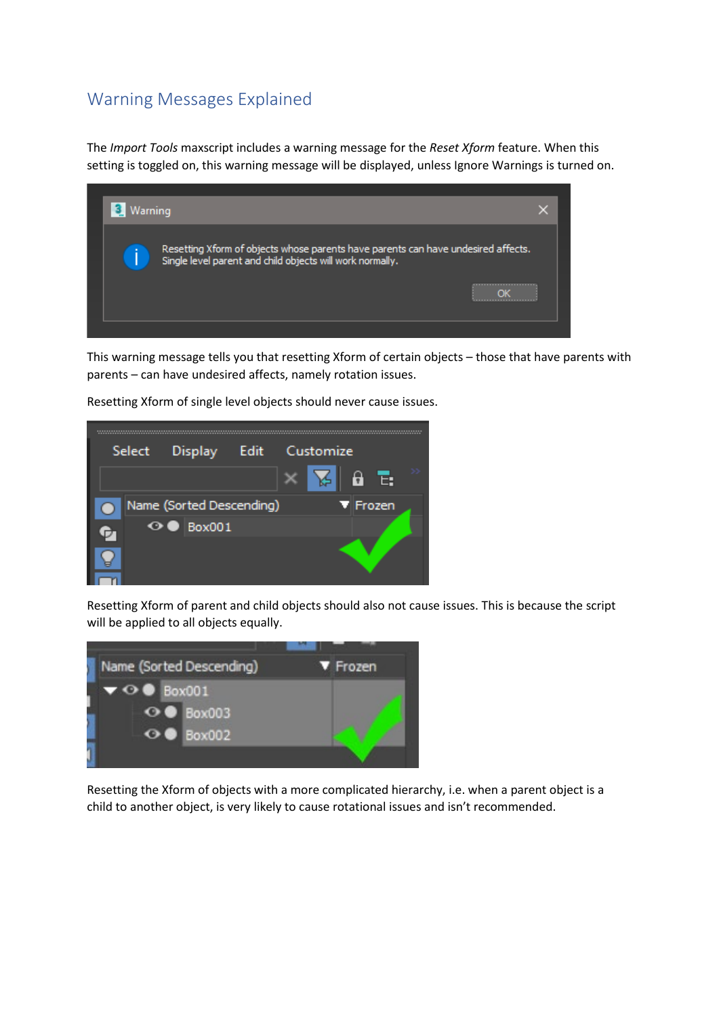#### <span id="page-5-0"></span>Warning Messages Explained

The *Import Tools* maxscript includes a warning message for the *Reset Xform* feature. When this setting is toggled on, this warning message will be displayed, unless Ignore Warnings is turned on.



This warning message tells you that resetting Xform of certain objects – those that have parents with parents – can have undesired affects, namely rotation issues.



Resetting Xform of single level objects should never cause issues.

Resetting Xform of parent and child objects should also not cause issues. This is because the script will be applied to all objects equally.



Resetting the Xform of objects with a more complicated hierarchy, i.e. when a parent object is a child to another object, is very likely to cause rotational issues and isn't recommended.